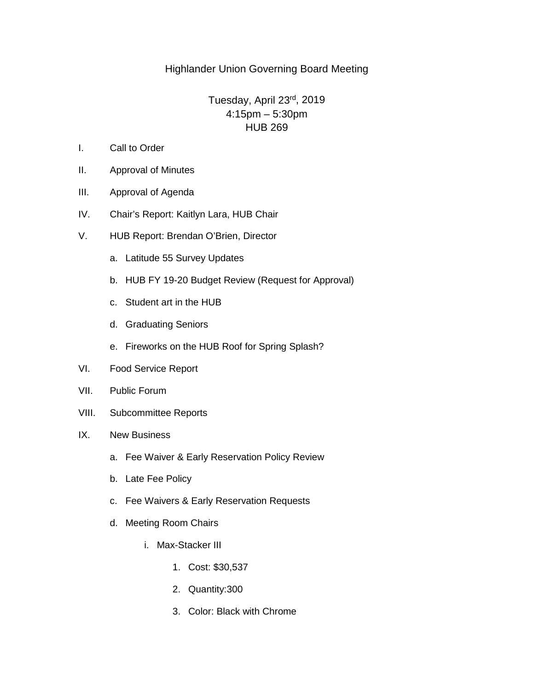## Highlander Union Governing Board Meeting

## Tuesday, April 23rd, 2019 4:15pm – 5:30pm HUB 269

- I. Call to Order
- II. Approval of Minutes
- III. Approval of Agenda
- IV. Chair's Report: Kaitlyn Lara, HUB Chair
- V. HUB Report: Brendan O'Brien, Director
	- a. Latitude 55 Survey Updates
	- b. HUB FY 19-20 Budget Review (Request for Approval)
	- c. Student art in the HUB
	- d. Graduating Seniors
	- e. Fireworks on the HUB Roof for Spring Splash?
- VI. Food Service Report
- VII. Public Forum
- VIII. Subcommittee Reports
- IX. New Business
	- a. Fee Waiver & Early Reservation Policy Review
	- b. Late Fee Policy
	- c. Fee Waivers & Early Reservation Requests
	- d. Meeting Room Chairs
		- i. Max-Stacker III
			- 1. Cost: \$30,537
			- 2. Quantity:300
			- 3. Color: Black with Chrome